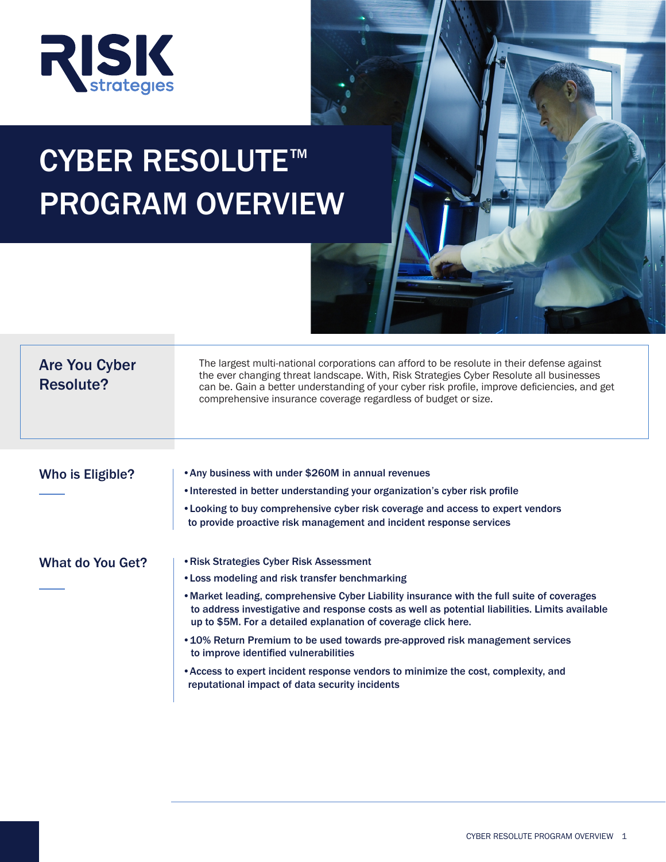

# CYBER RESOLUTE<sup>™</sup> PROGRAM OVERVIEW

| <b>Are You Cyber</b><br><b>Resolute?</b> | The largest multi-national corporations can afford to be resolute in their defense against<br>the ever changing threat landscape. With, Risk Strategies Cyber Resolute all businesses<br>can be. Gain a better understanding of your cyber risk profile, improve deficiencies, and get |
|------------------------------------------|----------------------------------------------------------------------------------------------------------------------------------------------------------------------------------------------------------------------------------------------------------------------------------------|
|                                          | comprehensive insurance coverage regardless of budget or size.                                                                                                                                                                                                                         |
| <b>Who is Eligible?</b>                  | • Any business with under \$260M in annual revenues                                                                                                                                                                                                                                    |
|                                          | . Interested in better understanding your organization's cyber risk profile                                                                                                                                                                                                            |
|                                          | • Looking to buy comprehensive cyber risk coverage and access to expert vendors<br>to provide proactive risk management and incident response services                                                                                                                                 |
| <b>What do You Get?</b>                  | • Risk Strategies Cyber Risk Assessment                                                                                                                                                                                                                                                |
|                                          | • Loss modeling and risk transfer benchmarking                                                                                                                                                                                                                                         |
|                                          | • Market leading, comprehensive Cyber Liability insurance with the full suite of coverages<br>to address investigative and response costs as well as potential liabilities. Limits available<br>up to \$5M. For a detailed explanation of coverage click here.                         |
|                                          | • 10% Return Premium to be used towards pre-approved risk management services<br>to improve identified vulnerabilities                                                                                                                                                                 |
|                                          | • Access to expert incident response vendors to minimize the cost, complexity, and                                                                                                                                                                                                     |